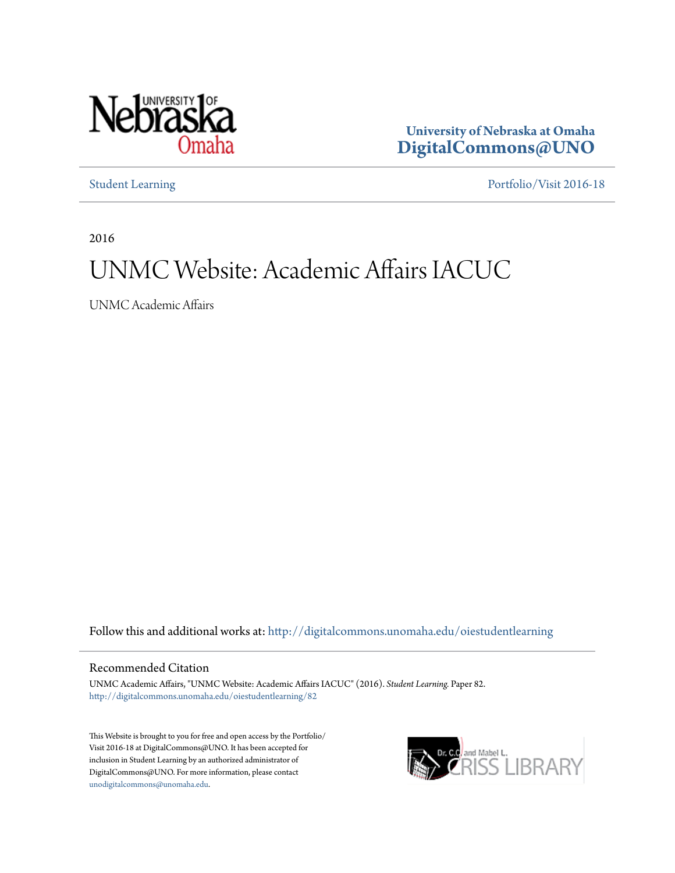

**University of Nebraska at Omaha [DigitalCommons@UNO](http://digitalcommons.unomaha.edu?utm_source=digitalcommons.unomaha.edu%2Foiestudentlearning%2F82&utm_medium=PDF&utm_campaign=PDFCoverPages)**

[Student Learning](http://digitalcommons.unomaha.edu/oiestudentlearning?utm_source=digitalcommons.unomaha.edu%2Foiestudentlearning%2F82&utm_medium=PDF&utm_campaign=PDFCoverPages) [Portfolio/Visit 2016-18](http://digitalcommons.unomaha.edu/oieportfolio?utm_source=digitalcommons.unomaha.edu%2Foiestudentlearning%2F82&utm_medium=PDF&utm_campaign=PDFCoverPages)

2016

# UNMC Website: Academic Affairs IACUC

UNMC Academic Affairs

Follow this and additional works at: [http://digitalcommons.unomaha.edu/oiestudentlearning](http://digitalcommons.unomaha.edu/oiestudentlearning?utm_source=digitalcommons.unomaha.edu%2Foiestudentlearning%2F82&utm_medium=PDF&utm_campaign=PDFCoverPages)

#### Recommended Citation

UNMC Academic Affairs, "UNMC Website: Academic Affairs IACUC" (2016). *Student Learning.* Paper 82. [http://digitalcommons.unomaha.edu/oiestudentlearning/82](http://digitalcommons.unomaha.edu/oiestudentlearning/82?utm_source=digitalcommons.unomaha.edu%2Foiestudentlearning%2F82&utm_medium=PDF&utm_campaign=PDFCoverPages)

This Website is brought to you for free and open access by the Portfolio/ Visit 2016-18 at DigitalCommons@UNO. It has been accepted for inclusion in Student Learning by an authorized administrator of DigitalCommons@UNO. For more information, please contact [unodigitalcommons@unomaha.edu](mailto:unodigitalcommons@unomaha.edu).

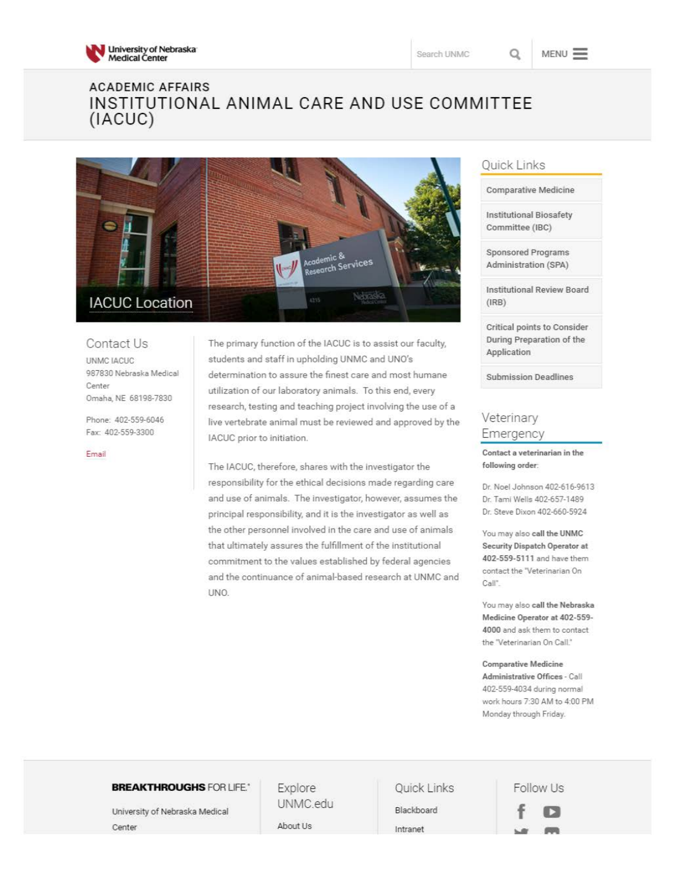

## **ACADEMIC AFFAIRS**  INSTITUTIONAL ANIMAL CARE AND USE COMMITTEE (IACUC)



Contact Us UNMCIACUC 987830 Nebraska Medical **Center**  Omaha, NE 68198-7830

Phone: 402-559-6046 Fax: 402-559-3300

Email

The primary function of the IACUC is to assist our faculty, students and staff in upholding UNMC and UNO's determination to assure the finest care and most humane utilization of our laboratory animals. To this end, every research, testing and teaching project involving the use of a live vertebrate animal must be reviewed and approved by the IACUC prior to initiation.

The IACUC, therefore, shares with the investigator the responsibility for the ethical decisions made regarding care and use of animals. The investigator, however, assumes the principal responsibility, and it is the investigator as well as the other personnel involved in the care and use of animals that ultimately assures the fulfillment of the institutional commitment to the values established by federal agencies and the continuance of animal-based research at UNMC and UNO.

### Quick Links

Comparative Medicine

Institutional Biosafety Committee (IBC)

Sponsored Programs Administration (SPA)

Institutional Review Board (IRB)

Critical points to Consider During Preparation of the Application

Submission Deadlines

### **Veterinary Emergency**

**Contact a veterinarian in the**  following **order:** 

Dr. Noel Johnson 402-616-9613 Dr. Tami Wells 402-657-1489 Dr. Steve Dixon 402-660-5924

You may also call the UNMC **Security** Dispatch Operator **at**  402-559-5111 and have them **contact the Veterinarian On**  Call".

You may also call the Nebraska Medicine Operator at 402-559- 4000 and ask them to contact the "Veterinarian On Call."

#### **Comparative Medicine**

Administrative Offices - Call 402-559-4034 during normal work hours 7:30 AM to 4:00 PM Monday through Friday.

#### **BREAKTHROUGHS FOR LIFE.** Explore

University of Nebraska Medical Center About Us

UNMC.edu

Quick Links

Blackboard Intranet

Follow Us **f D**   $\frac{1}{2}$   $\frac{1}{2}$   $\frac{1}{2}$